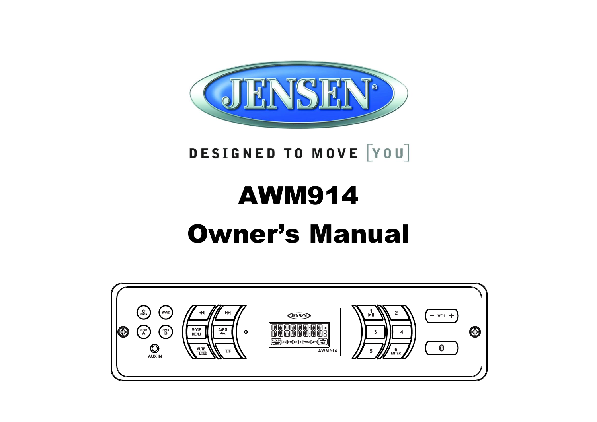

# DESIGNED TO MOVE [YOU]

# AWM914 Owner's Manual

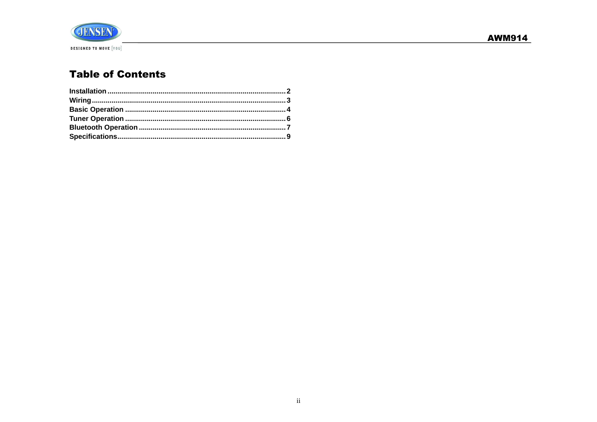

# **Table of Contents**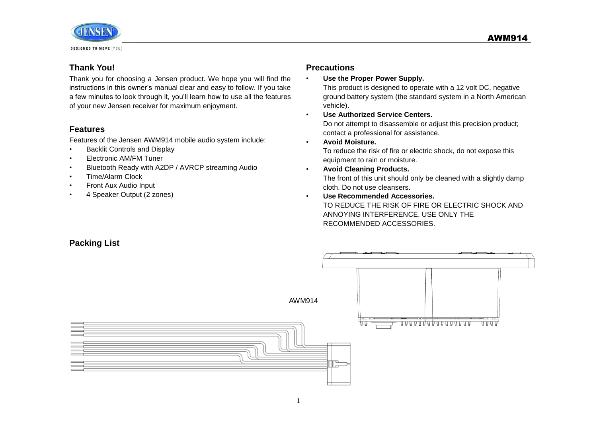

# **Thank You!**

Thank you for choosing a Jensen product. We hope you will find the instructions in this owner's manual clear and easy to follow. If you take a few minutes to look through it, you'll learn how to use all the features of your new Jensen receiver for maximum enjoyment.

# **Features**

Features of the Jensen AWM914 mobile audio system include:

- Backlit Controls and Display
- Electronic AM/FM Tuner
- Bluetooth Ready with A2DP / AVRCP streaming Audio
- Time/Alarm Clock
- Front Aux Audio Input
- 4 Speaker Output (2 zones)

# **Precautions**

• **Use the Proper Power Supply.**

This product is designed to operate with a 12 volt DC, negative ground battery system (the standard system in a North American vehicle).

- **Use Authorized Service Centers.** Do not attempt to disassemble or adjust this precision product; contact a professional for assistance.
- **Avoid Moisture.**

To reduce the risk of fire or electric shock, do not expose this equipment to rain or moisture.

- **Avoid Cleaning Products.** The front of this unit should only be cleaned with a slightly damp cloth. Do not use cleansers.
- **Use Recommended Accessories.** TO REDUCE THE RISK OF FIRE OR ELECTRIC SHOCK AND ANNOYING INTERFERENCE, USE ONLY THE RECOMMENDED ACCESSORIES.

# **Packing List**

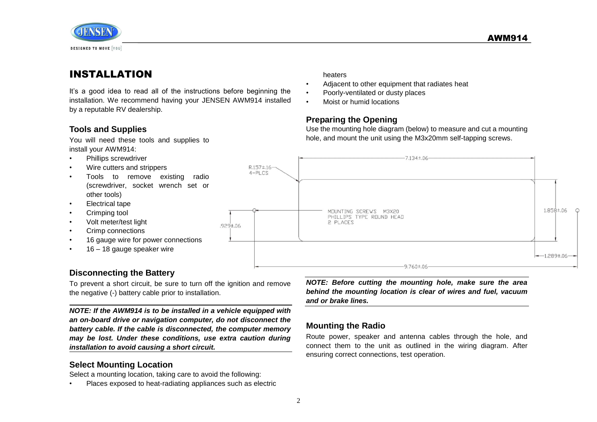

# <span id="page-3-0"></span>INSTALLATION

It's a good idea to read all of the instructions before beginning the installation. We recommend having your JENSEN AWM914 installed by a reputable RV dealership.

#### heaters

- Adjacent to other equipment that radiates heat
- Poorly-ventilated or dusty places
- Moist or humid locations

#### **Preparing the Opening**

**Tools and Supplies**

You will need these tools and supplies to install your AWM914:

- Phillips screwdriver
- Wire cutters and strippers
- Tools to remove existing radio (screwdriver, socket wrench set or other tools)
- Electrical tape
- Crimping tool
- Volt meter/test light
- Crimp connections
- 16 gauge wire for power connections
- 16 18 gauge speaker wire

# **Disconnecting the Battery**

To prevent a short circuit, be sure to turn off the ignition and remove the negative (-) battery cable prior to installation.

*NOTE: If the AWM914 is to be installed in a vehicle equipped with an on-board drive or navigation computer, do not disconnect the battery cable. If the cable is disconnected, the computer memory may be lost. Under these conditions, use extra caution during installation to avoid causing a short circuit.*

# **Select Mounting Location**

Select a mounting location, taking care to avoid the following:

• Places exposed to heat-radiating appliances such as electric

 $-7.134 \pm 0.06$  $R.157 \pm .16$  $4 - P L C S$  $1.858 \pm .06$ MOUNTING SCREWS M3X20 PHILLIPS TYPE ROUND HEAD 2 PLACES .929±.06  $-1.289 \pm .06$  $-9.760 \pm 0.06$ 

Use the mounting hole diagram (below) to measure and cut a mounting hole, and mount the unit using the M3x20mm self-tapping screws.

*NOTE: Before cutting the mounting hole, make sure the area behind the mounting location is clear of wires and fuel, vacuum and or brake lines.*

# **Mounting the Radio**

Route power, speaker and antenna cables through the hole, and connect them to the unit as outlined in the wiring diagram. After ensuring correct connections, test operation.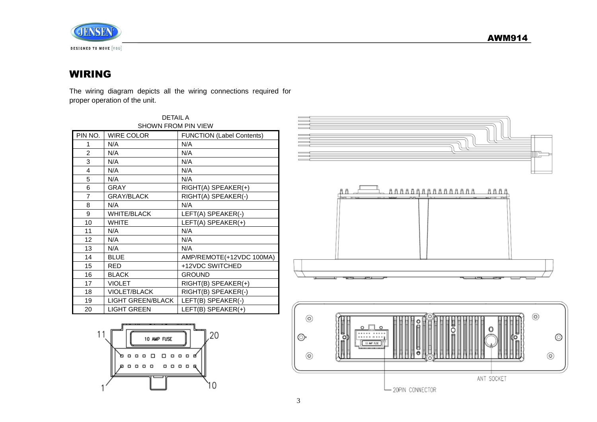



# <span id="page-4-0"></span>WIRING

The wiring diagram depicts all the wiring connections required for proper operation of the unit.

| <b>DETAIL A</b>            |                     |                                  |  |
|----------------------------|---------------------|----------------------------------|--|
| <b>SHOWN FROM PIN VIEW</b> |                     |                                  |  |
| PIN NO.                    | <b>WIRE COLOR</b>   | <b>FUNCTION (Label Contents)</b> |  |
| 1                          | N/A                 | N/A                              |  |
| $\overline{2}$             | N/A                 | N/A                              |  |
| 3                          | N/A                 | N/A                              |  |
| 4                          | N/A                 | N/A                              |  |
| 5                          | N/A                 | N/A                              |  |
| 6                          | <b>GRAY</b>         | $RIGHT(A)$ SPEAKER $(+)$         |  |
| 7                          | <b>GRAY/BLACK</b>   | RIGHT(A) SPEAKER(-)              |  |
| 8                          | N/A                 | N/A                              |  |
| 9                          | <b>WHITE/BLACK</b>  | LEFT(A) SPEAKER(-)               |  |
| 10                         | <b>WHITE</b>        | LEFT(A) SPEAKER(+)               |  |
| 11                         | N/A                 | N/A                              |  |
| 12                         | N/A                 | N/A                              |  |
| 13                         | N/A                 | N/A                              |  |
| 14                         | <b>BLUE</b>         | AMP/REMOTE(+12VDC 100MA)         |  |
| 15                         | RED                 | +12VDC SWITCHED                  |  |
| 16                         | <b>BLACK</b>        | <b>GROUND</b>                    |  |
| 17                         | <b>VIOLET</b>       | RIGHT(B) SPEAKER(+)              |  |
| 18                         | <b>VIOLET/BLACK</b> | RIGHT(B) SPEAKER(-)              |  |
| 19                         | LIGHT GREEN/BLACK   | LEFT(B) SPEAKER(-)               |  |
| 20                         | <b>LIGHT GREEN</b>  | LEFT(B) SPEAKER(+)               |  |



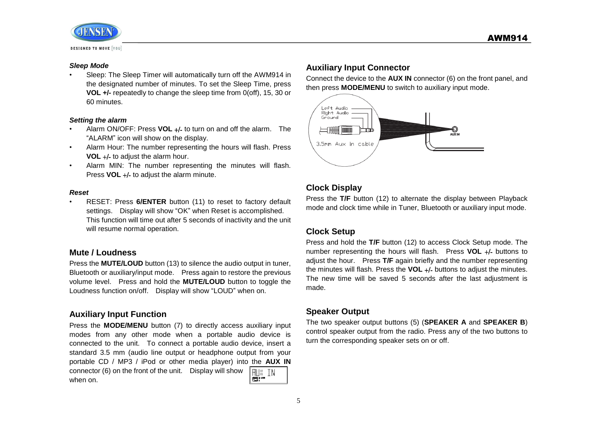

#### *Sleep Mode*

• Sleep: The Sleep Timer will automatically turn off the AWM914 in the designated number of minutes. To set the Sleep Time, press **VOL +/-** repeatedly to change the sleep time from 0(off), 15, 30 or 60 minutes.

#### *Setting the alarm*

- Alarm ON/OFF: Press **VOL** +/- to turn on and off the alarm. The "ALARM" icon will show on the display.
- Alarm Hour: The number representing the hours will flash. Press **VOL** +/- to adjust the alarm hour.
- Alarm MIN: The number representing the minutes will flash. Press **VOL** +/- to adjust the alarm minute.

#### *Reset*

• RESET: Press **6/ENTER** button (11) to reset to factory default settings. Display will show "OK" when Reset is accomplished. This function will time out after 5 seconds of inactivity and the unit will resume normal operation.

#### **Mute / Loudness**

Press the **MUTE/LOUD** button (13) to silence the audio output in tuner, Bluetooth or auxiliary/input mode. Press again to restore the previous volume level. Press and hold the **MUTE/LOUD** button to toggle the Loudness function on/off. Display will show "LOUD" when on.

#### **Auxiliary Input Function**

Press the **MODE/MENU** button (7) to directly access auxiliary input modes from any other mode when a portable audio device is connected to the unit. To connect a portable audio device, insert a standard 3.5 mm (audio line output or headphone output from your portable CD / MP3 / iPod or other media player) into the **AUX IN**  connector (6) on the front of the unit. Display will show **RUK TN** 图:" when on.

#### **Auxiliary Input Connector**

Connect the device to the **AUX IN** connector (6) on the front panel, and then press **MODE/MENU** to switch to auxiliary input mode.



# **Clock Display**

Press the **T/F** button (12) to alternate the display between Playback mode and clock time while in Tuner, Bluetooth or auxiliary input mode.

# **Clock Setup**

Press and hold the **T/F** button (12) to access Clock Setup mode. The number representing the hours will flash. Press **VOL** +/- buttons to adjust the hour. Press **T/F** again briefly and the number representing the minutes will flash. Press the **VOL** +/- buttons to adjust the minutes. The new time will be saved 5 seconds after the last adjustment is made.

#### **Speaker Output**

The two speaker output buttons (5) (**SPEAKER A** and **SPEAKER B**) control speaker output from the radio. Press any of the two buttons to turn the corresponding speaker sets on or off.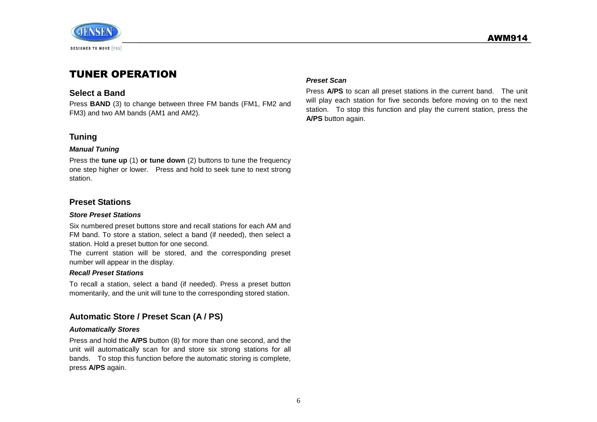



# <span id="page-7-0"></span>TUNER OPERATION

#### **Select a Band**

Press **BAND** (3) to change between three FM bands (FM1, FM2 and FM3) and two AM bands (AM1 and AM2).

#### **Tuning**

#### *Manual Tuning*

Press the **tune up** (1) **or tune down** (2) buttons to tune the frequency one step higher or lower. Press and hold to seek tune to next strong station.

#### **Preset Stations**

#### *Store Preset Stations*

Six numbered preset buttons store and recall stations for each AM and FM band. To store a station, select a band (if needed), then select a station. Hold a preset button for one second.

The current station will be stored, and the corresponding preset number will appear in the display.

#### *Recall Preset Stations*

To recall a station, select a band (if needed). Press a preset button momentarily, and the unit will tune to the corresponding stored station.

# **Automatic Store / Preset Scan (A / PS)**

#### *Automatically Stores*

Press and hold the **A/PS** button (8) for more than one second, and the unit will automatically scan for and store six strong stations for all bands. To stop this function before the automatic storing is complete, press **A/PS** again.

#### *Preset Scan*

Press **A/PS** to scan all preset stations in the current band. The unit will play each station for five seconds before moving on to the next station. To stop this function and play the current station, press the **A/PS** button again.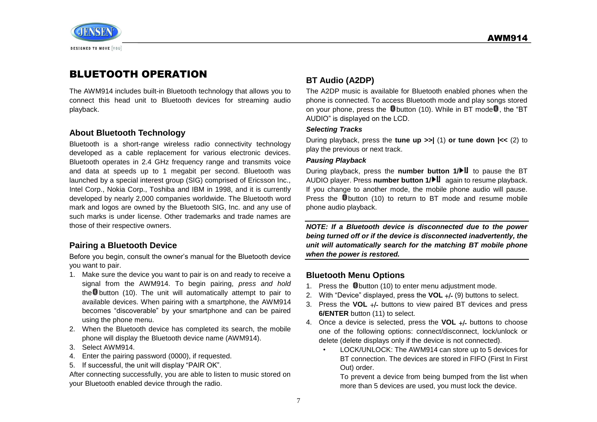

# <span id="page-8-0"></span>BLUETOOTH OPERATION

The AWM914 includes built-in Bluetooth technology that allows you to connect this head unit to Bluetooth devices for streaming audio playback.

#### **About Bluetooth Technology**

Bluetooth is a short-range wireless radio connectivity technology developed as a cable replacement for various electronic devices. Bluetooth operates in 2.4 GHz frequency range and transmits voice and data at speeds up to 1 megabit per second. Bluetooth was launched by a special interest group (SIG) comprised of Ericsson Inc., Intel Corp., Nokia Corp., Toshiba and IBM in 1998, and it is currently developed by nearly 2,000 companies worldwide. The Bluetooth word mark and logos are owned by the Bluetooth SIG, Inc. and any use of such marks is under license. Other trademarks and trade names are those of their respective owners.

#### **Pairing a Bluetooth Device**

Before you begin, consult the owner's manual for the Bluetooth device you want to pair.

- 1. Make sure the device you want to pair is on and ready to receive a signal from the AWM914. To begin pairing, *press and hold* the **D** button (10). The unit will automatically attempt to pair to available devices. When pairing with a smartphone, the AWM914 becomes "discoverable" by your smartphone and can be paired using the phone menu.
- 2. When the Bluetooth device has completed its search, the mobile phone will display the Bluetooth device name (AWM914).
- 3. Select AWM914.
- 4. Enter the pairing password (0000), if requested.
- 5. If successful, the unit will display "PAIR OK".

After connecting successfully, you are able to listen to music stored on your Bluetooth enabled device through the radio.

# **BT Audio (A2DP)**

The A2DP music is available for Bluetooth enabled phones when the phone is connected. To access Bluetooth mode and play songs stored on your phone, press the  $\bullet$  button (10). While in BT mode  $\bullet$ , the "BT AUDIO" is displayed on the LCD.

#### *Selecting Tracks*

During playback, press the **tune up >>|** (1) **or tune down |<<** (2) to play the previous or next track.

#### *Pausing Playback*

During playback, press the **number button 1/** to pause the BT AUDIO player. Press **number button 1/** again to resume playback. If you change to another mode, the mobile phone audio will pause. Press the **B** button (10) to return to BT mode and resume mobile phone audio playback.

*NOTE: If a Bluetooth device is disconnected due to the power being turned off or if the device is disconnected inadvertently, the unit will automatically search for the matching BT mobile phone when the power is restored.* 

# **Bluetooth Menu Options**

- 1. Press the **B**button (10) to enter menu adjustment mode.
- 2. With "Device" displayed, press the **VOL** +/- (9) buttons to select.
- 3. Press the **VOL** +/- buttons to view paired BT devices and press **6/ENTER** button (11) to select.
- 4. Once a device is selected, press the **VOL** +/- buttons to choose one of the following options: connect/disconnect, lock/unlock or delete (delete displays only if the device is not connected).
	- LOCK/UNLOCK: The AWM914 can store up to 5 devices for BT connection. The devices are stored in FIFO (First In First Out) order.

To prevent a device from being bumped from the list when more than 5 devices are used, you must lock the device.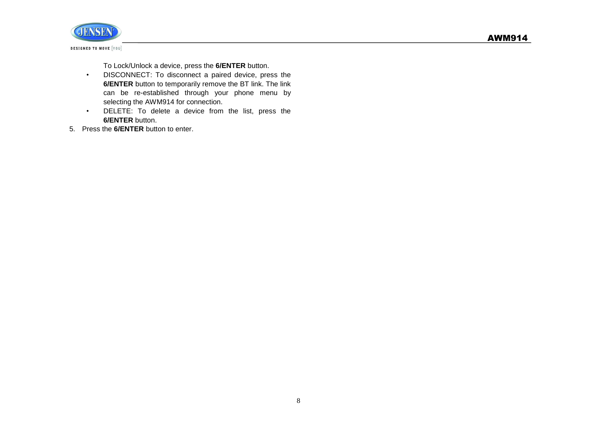

To Lock/Unlock a device, press the **6/ENTER** button.

- DISCONNECT: To disconnect a paired device, press the **6/ENTER** button to temporarily remove the BT link. The link can be re-established through your phone menu by selecting the AWM914 for connection.
- DELETE: To delete a device from the list, press the **6/ENTER** button.
- 5. Press the **6/ENTER** button to enter.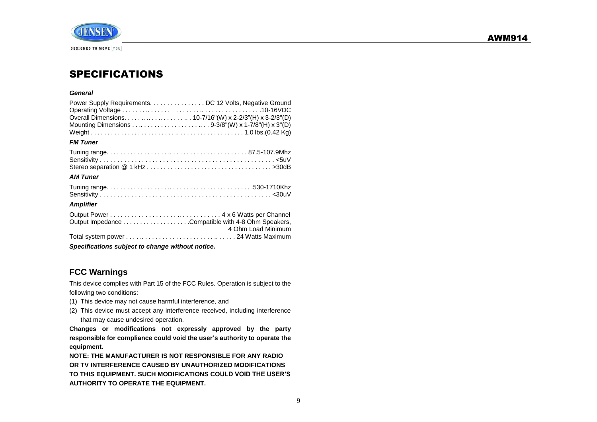



# <span id="page-10-0"></span>SPECIFICATIONS

#### *General*

| Power Supply Requirements. DC 12 Volts, Negative Ground |
|---------------------------------------------------------|
|                                                         |
|                                                         |
|                                                         |
|                                                         |

#### *FM Tuner*

#### *AM Tuner*

#### *Amplifier*

| Specifications subject to change without notice. |                    |  |
|--------------------------------------------------|--------------------|--|
|                                                  |                    |  |
|                                                  | 4 Ohm Load Minimum |  |
|                                                  |                    |  |
|                                                  |                    |  |

**FCC Warnings**

This device complies with Part 15 of the FCC Rules. Operation is subject to the following two conditions:

- (1) This device may not cause harmful interference, and
- (2) This device must accept any interference received, including interference that may cause undesired operation.

**Changes or modifications not expressly approved by the party responsible for compliance could void the user's authority to operate the equipment.**

**NOTE: THE MANUFACTURER IS NOT RESPONSIBLE FOR ANY RADIO OR TV INTERFERENCE CAUSED BY UNAUTHORIZED MODIFICATIONS TO THIS EQUIPMENT. SUCH MODIFICATIONS COULD VOID THE USER'S AUTHORITY TO OPERATE THE EQUIPMENT.**